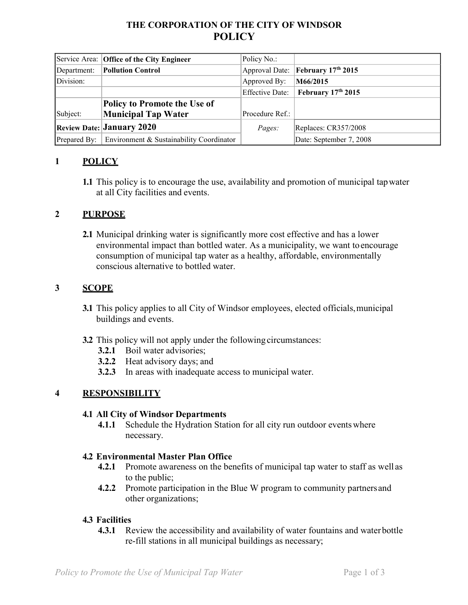# **THE CORPORATION OF THE CITY OF WINDSOR POLICY**

|              | Service Area: Office of the City Engineer | Policy No.:     |                                                      |
|--------------|-------------------------------------------|-----------------|------------------------------------------------------|
| Department:  | <b>Pollution Control</b>                  |                 | Approval Date: <b>February</b> 17 <sup>th</sup> 2015 |
| Division:    |                                           | Approved By:    | M66/2015                                             |
|              |                                           | Effective Date: | February 17th 2015                                   |
|              | Policy to Promote the Use of              |                 |                                                      |
| Subject:     | Municipal Tap Water                       | Procedure Ref.: |                                                      |
|              | <b>Review Date: January 2020</b>          | Pages:          | Replaces: CR357/2008                                 |
| Prepared By: | Environment & Sustainability Coordinator  |                 | Date: September 7, 2008                              |

### **1 POLICY**

**1.1** This policy is to encourage the use, availability and promotion of municipal tapwater at all City facilities and events.

### **2 PURPOSE**

**2.1** Municipal drinking water is significantly more cost effective and has a lower environmental impact than bottled water. As a municipality, we want toencourage consumption of municipal tap water as a healthy, affordable, environmentally conscious alternative to bottled water.

#### **3 SCOPE**

- **3.1** This policy applies to all City of Windsor employees, elected officials, municipal buildings and events.
- **3.2** This policy will not apply under the following circumstances:
	- **3.2.1** Boil water advisories;
	- **3.2.2** Heat advisory days; and
	- **3.2.3** In areas with inadequate access to municipal water.

#### **4 RESPONSIBILITY**

#### **4.1 All City of Windsor Departments**

**4.1.1** Schedule the Hydration Station for all city run outdoor eventswhere necessary.

#### **4.2 Environmental Master Plan Office**

- **4.2.1** Promote awareness on the benefits of municipal tap water to staff as well as to the public;
- **4.2.2** Promote participation in the Blue W program to community partners and other organizations;

#### **4.3 Facilities**

**4.3.1** Review the accessibility and availability of water fountains and waterbottle re-fill stations in all municipal buildings as necessary;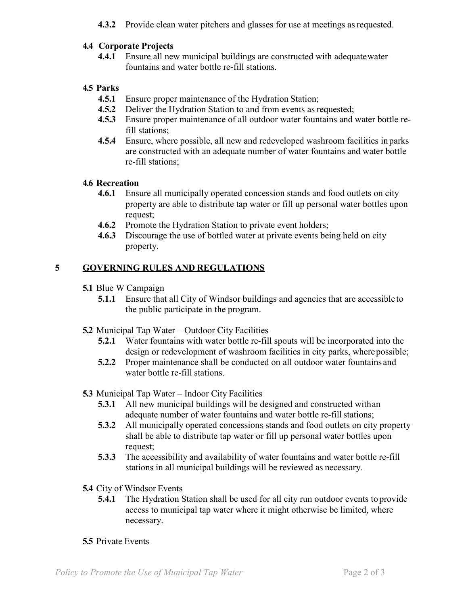**4.3.2** Provide clean water pitchers and glasses for use at meetings as requested.

#### **4.4 Corporate Projects**

**4.4.1** Ensure all new municipal buildings are constructed with adequatewater fountains and water bottle re-fill stations.

## **4.5 Parks**

- **4.5.1** Ensure proper maintenance of the Hydration Station;
- **4.5.2** Deliver the Hydration Station to and from events as requested;
- **4.5.3** Ensure proper maintenance of all outdoor water fountains and water bottle refill stations;
- **4.5.4** Ensure, where possible, all new and redeveloped washroom facilities in parks are constructed with an adequate number of water fountains and water bottle re-fill stations;

### **4.6 Recreation**

- **4.6.1** Ensure all municipally operated concession stands and food outlets on city property are able to distribute tap water or fill up personal water bottles upon request;
- **4.6.2** Promote the Hydration Station to private event holders;
- **4.6.3** Discourage the use of bottled water at private events being held on city property.

# **5 GOVERNING RULES AND REGULATIONS**

- **5.1** Blue W Campaign
	- **5.1.1** Ensure that all City of Windsor buildings and agencies that are accessible to the public participate in the program.
- **5.2** Municipal Tap Water Outdoor City Facilities
	- **5.2.1** Water fountains with water bottle re-fill spouts will be incorporated into the design or redevelopment of washroom facilities in city parks, where possible;
	- **5.2.2** Proper maintenance shall be conducted on all outdoor water fountains and water bottle re-fill stations.
- **5.3** Municipal Tap Water Indoor City Facilities
	- **5.3.1** All new municipal buildings will be designed and constructed withan adequate number of water fountains and water bottle re-fill stations;
	- **5.3.2** All municipally operated concessions stands and food outlets on city property shall be able to distribute tap water or fill up personal water bottles upon request;
	- **5.3.3** The accessibility and availability of water fountains and water bottle re-fill stations in all municipal buildings will be reviewed as necessary.
- **5.4** City of Windsor Events
	- **5.4.1** The Hydration Station shall be used for all city run outdoor events to provide access to municipal tap water where it might otherwise be limited, where necessary.

### **5.5** Private Events